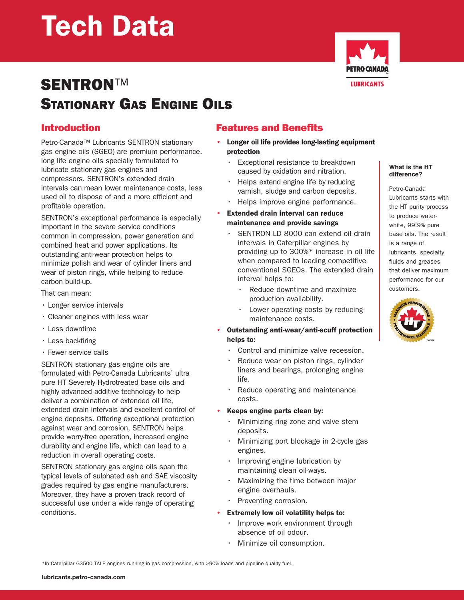# Tech Data



## SENTRON™ STATIONARY GAS ENGINE OILS

## Introduction

Petro-Canada™ Lubricants SENTRON stationary gas engine oils (SGEO) are premium performance, long life engine oils specially formulated to lubricate stationary gas engines and compressors. SENTRON's extended drain intervals can mean lower maintenance costs, less used oil to dispose of and a more efficient and profitable operation.

SENTRON's exceptional performance is especially important in the severe service conditions common in compression, power generation and combined heat and power applications. Its outstanding anti-wear protection helps to minimize polish and wear of cylinder liners and wear of piston rings, while helping to reduce carbon build-up.

That can mean:

- Longer service intervals
- Cleaner engines with less wear
- Less downtime
- Less backfiring
- Fewer service calls

SENTRON stationary gas engine oils are formulated with Petro-Canada Lubricants' ultra pure HT Severely Hydrotreated base oils and highly advanced additive technology to help deliver a combination of extended oil life, extended drain intervals and excellent control of engine deposits. Offering exceptional protection against wear and corrosion, SENTRON helps provide worry-free operation, increased engine durability and engine life, which can lead to a reduction in overall operating costs.

SENTRON stationary gas engine oils span the typical levels of sulphated ash and SAE viscosity grades required by gas engine manufacturers. Moreover, they have a proven track record of successful use under a wide range of operating conditions.

## Features and Benefits

- Longer oil life provides long-lasting equipment protection
	- Exceptional resistance to breakdown caused by oxidation and nitration.
	- Helps extend engine life by reducing varnish, sludge and carbon deposits.
	- Helps improve engine performance.

#### **Extended drain interval can reduce** maintenance and provide savings

- SENTRON LD 8000 can extend oil drain intervals in Caterpillar engines by providing up to 300%\* increase in oil life when compared to leading competitive conventional SGEOs. The extended drain interval helps to:
	- Reduce downtime and maximize production availability.
	- Lower operating costs by reducing maintenance costs.
- Outstanding anti-wear/anti-scuff protection helps to:
	- Control and minimize valve recession.
	- Reduce wear on piston rings, cylinder liners and bearings, prolonging engine life.
	- Reduce operating and maintenance costs.

#### • Keeps engine parts clean by:

- Minimizing ring zone and valve stem deposits.
- Minimizing port blockage in 2-cycle gas engines.
- Improving engine lubrication by maintaining clean oil-ways.
- Maximizing the time between major engine overhauls.
- Preventing corrosion.
- Extremely low oil volatility helps to:
	- Improve work environment through absence of oil odour.
	- Minimize oil consumption.

\*In Caterpillar G3500 TALE engines running in gas compression, with >90% loads and pipeline quality fuel.

Petro-Canada Lubricants starts with the HT purity process to produce waterwhite, 99.9% pure base oils. The result is a range of lubricants, specialty fluids and greases that deliver maximum performance for our customers.

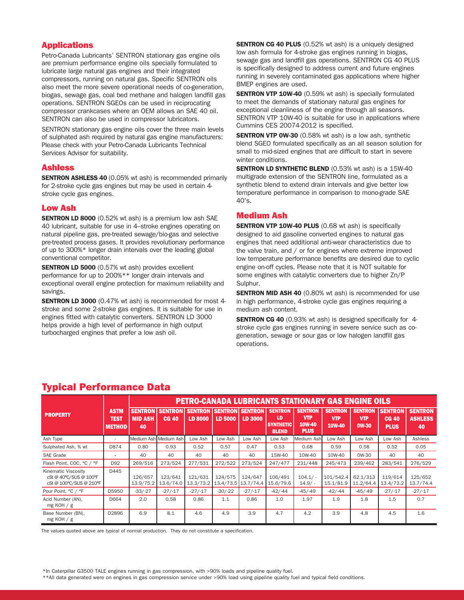#### Applications

Petro-Canada Lubricants' SENTRON stationary gas engine oils are premium performance engine oils specially formulated to lubricate large natural gas engines and their integrated compressors, running on natural gas. Specific SENTRON oils also meet the more severe operational needs of co-generation, biogas, sewage gas, coal bed methane and halogen landfill gas operations. SENTRON SGEOs can be used in reciprocating compressor crankcases where an OEM allows an SAE 40 oil. SENTRON can also be used in compressor lubricators.

SENTRON stationary gas engine oils cover the three main levels of sulphated ash required by natural gas engine manufacturers: Please check with your Petro-Canada Lubricants Technical Services Advisor for suitability.

#### Ashless

**SENTRON ASHLESS 40 (0.05% wt ash) is recommended primarily** for 2-stroke cycle gas engines but may be used in certain 4 stroke cycle gas engines.

#### Low Ash

**SENTRON LD 8000** (0.52% wt ash) is a premium low ash SAE 40 lubricant, suitable for use in 4–stroke engines operating on natural pipeline gas, pre-treated sewage/bio-gas and selective pre-treated process gases. It provides revolutionary performance of up to 300%\* longer drain intervals over the leading global conventional competitor.

**SENTRON LD 5000** (0.57% wt ash) provides excellent performance for up to 200%\*\* longer drain intervals and exceptional overall engine protection for maximum reliability and savings.

**SENTRON LD 3000** (0.47% wt ash) is recommended for most 4stroke and some 2-stroke gas engines. It is suitable for use in engines fitted with catalytic converters. SENTRON LD 3000 helps provide a high level of performance in high output turbocharged engines that prefer a low ash oil.

**SENTRON CG 40 PLUS** (0.52% wt ash) is a uniquely designed low ash formula for 4-stroke gas engines running in biogas, sewage gas and landfill gas operations. SENTRON CG 40 PLUS is specifically designed to address current and future engines running in severely contaminated gas applications where higher BMEP engines are used.

**SENTRON VTP 10W-40** (0.59% wt ash) is specially formulated to meet the demands of stationary natural gas engines for exceptional cleanliness of the engine through all seasons. SENTRON VTP 10W-40 is suitable for use in applications where Cummins CES 20074-2012 is specified.

**SENTRON VTP 0W-30** (0.58% wt ash) is a low ash, synthetic blend SGEO formulated specifically as an all season solution for small to mid-sized engines that are difficult to start in severe winter conditions.

**SENTRON LD SYNTHETIC BLEND** (0.53% wt ash) is a 15W-40 multigrade extension of the SENTRON line, formulated as a synthetic blend to extend drain intervals and give better low temperature performance in comparison to mono-grade SAE 40's.

#### Medium Ash

**SENTRON VTP 10W-40 PLUS** (0.68 wt ash) is specifically designed to aid gasoline converted engines to natural gas engines that need additional anti-wear characteristics due to the valve train, and / or for engines where extreme improved low temperature performance benefits are desired due to cyclic engine on-off cycles. Please note that it is NOT suitable for some engines with catalytic converters due to higher Zn/P Sulphur.

**SENTRON MID ASH 40** (0.80% wt ash) is recommended for use in high performance, 4-stroke cycle gas engines requiring a medium ash content.

**SENTRON CG 40** (0.93% wt ash) is designed specifically for 4stroke cycle gas engines running in severe service such as cogeneration, sewage or sour gas or low halogen landfill gas operations.

|                                                                          |                                             | <b>PETRO-CANADA LUBRICANTS STATIONARY GAS ENGINE OILS</b> |                                |                                  |                |                                   |                                                          |                                                       |                                        |                                              |                                               |                                        |  |  |  |
|--------------------------------------------------------------------------|---------------------------------------------|-----------------------------------------------------------|--------------------------------|----------------------------------|----------------|-----------------------------------|----------------------------------------------------------|-------------------------------------------------------|----------------------------------------|----------------------------------------------|-----------------------------------------------|----------------------------------------|--|--|--|
| <b>PROPERTY</b>                                                          | <b>ASTM</b><br><b>TEST</b><br><b>METHOD</b> | <b>SENTRON</b><br><b>MID ASH</b><br>40                    | <b>SENTRON</b><br><b>CG 40</b> | <b>SENTRON</b><br><b>LD 8000</b> | <b>LD 5000</b> | <b>SENTRON SENTRON</b><br>LD 3000 | <b>SENTRON</b><br>LD<br><b>SYNTHETIC</b><br><b>BLEND</b> | <b>SENTRON</b><br><b>VTP</b><br>10W-40<br><b>PLUS</b> | <b>SENTRON</b><br><b>VTP</b><br>10W-40 | <b>SENTRON</b><br><b>VTP</b><br><b>OW-30</b> | <b>SENTRON</b><br><b>CG 40</b><br><b>PLUS</b> | <b>SENTRON</b><br><b>ASHLESS</b><br>40 |  |  |  |
| Ash Type                                                                 |                                             |                                                           | Medium Ash Medium Ash          | Low Ash                          | Low Ash        | Low Ash                           | Low Ash                                                  | Medium Ash                                            | Low Ash                                | Low Ash                                      | Low Ash                                       | Ashless                                |  |  |  |
| Sulphated Ash, % wt                                                      | D874                                        | 0.80                                                      | 0.93                           | 0.52                             | 0.57           | 0.47                              | 0.53                                                     | 0.68                                                  | 0.59                                   | 0.58                                         | 0.52                                          | 0.05                                   |  |  |  |
| <b>SAE Grade</b>                                                         | $\overline{\phantom{a}}$                    | 40                                                        | 40                             | 40                               | 40             | 40                                | 15W-40                                                   | 10W-40                                                | 10W-40                                 | 0W-30                                        | 40                                            | 40                                     |  |  |  |
| Flash Point, COC, °C / °F                                                | D92                                         | 269/516                                                   | 273/524                        | 277/531                          | 272/522        | 273/524                           | 247/477                                                  | 231/448                                               | 245/473                                | 239/462                                      | 283/541                                       | 276/529                                |  |  |  |
| Kinematic Viscosity<br>cSt @ 40°C/SUS @ 100°F<br>cSt @ 100°C/SUS @ 210°F | D445                                        | 126/657<br>13.9/75.2                                      | 123/641<br>13.6/74.0           | 121/631<br>13.3/73.2             | 124/575        | 124/647<br>13.4/73.5 13.7/74.4    | 106/491<br>15.6/79.6                                     | 104.1/<br>14.9/                                       | 101/542.4<br>15.1/81.9                 | 62.1/313<br>11.2/64.4                        | 119/614<br>13.4/73.2                          | 125/652<br>13.7/74.4                   |  |  |  |
| Pour Point, °C / °F                                                      | D5950                                       | $-33/-27$                                                 | $-27/ -17$                     | $-27/ -17$                       | $-30/-22$      | $-27/ -17$                        | $-42/-44$                                                | $-45/-49$                                             | $-42/ -44$                             | $-45/ -49$                                   | $-27/ -17$                                    | $-27/ -17$                             |  |  |  |
| Acid Number (AN),<br>mg KOH $/$ g                                        | D664                                        | 2.0                                                       | 0.58                           | 0.86                             | 1.1            | 0.86                              | 1.0                                                      | 1.97                                                  | 1.9                                    | 1.8                                          | 1.5                                           | 0.7                                    |  |  |  |
| Base Number (BN),<br>mg KOH $/$ g                                        | D2896                                       | 6.9                                                       | 8.1                            | 4.6                              | 4.9            | 3.9                               | 4.7                                                      | 4.2                                                   | 3.9                                    | 4.8                                          | 4.5                                           | 1.6                                    |  |  |  |

### Typical Performance Data

The values quoted above are typical of normal production. They do not constitute a specification.

\*In Caterpillar G3500 TALE engines running in gas compression, with >90% loads and pipeline quality fuel.

\*\*All data generated were on engines in gas compression service under >90% load using pipeline quality fuel and typical field conditions.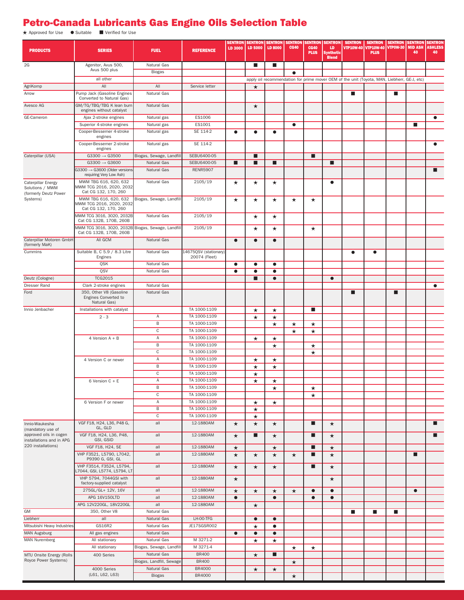## Petro-Canada Lubricants Gas Engine Oils Selection Table

★ Approved for Use Suitable **■** Verified for Use

| <b>PRODUCTS</b>                                                          | <b>SERIES</b>                                                             | <b>FUEL</b>                | <b>REFERENCE</b>             | <b>SENTRON</b><br>LD 3000 | <b>LD 5000</b>         | <b>SENTRON   SENTRON  </b><br><b>LD 8000</b> | <b>SENTRON</b><br><b>CG40</b> | <b>CG40</b><br><b>PLUS</b> | <b>SENTRON   SENTRON</b><br>LD<br><b>Synthetic</b><br><b>Blend</b> | <b>SENTRON</b><br><b>VTP10W-40</b>                                                          | <b>SENTRON SENTRON SENTRON SENTRON</b><br>VTP10W-40   VTP0W-30  <br><b>PLUS</b> |                | <b>MID ASH</b><br>40 | <b>ASHLESS</b><br>40 |
|--------------------------------------------------------------------------|---------------------------------------------------------------------------|----------------------------|------------------------------|---------------------------|------------------------|----------------------------------------------|-------------------------------|----------------------------|--------------------------------------------------------------------|---------------------------------------------------------------------------------------------|---------------------------------------------------------------------------------|----------------|----------------------|----------------------|
| 2G                                                                       | Agenitor, Avus 500,                                                       | Natural Gas                |                              |                           | <b>I</b>               | ш                                            |                               |                            |                                                                    |                                                                                             |                                                                                 |                |                      |                      |
|                                                                          | Avus 500 plus                                                             | <b>Biogas</b>              |                              |                           |                        |                                              | $\bullet$                     |                            |                                                                    |                                                                                             |                                                                                 |                |                      |                      |
|                                                                          | all other                                                                 |                            |                              |                           |                        |                                              |                               |                            |                                                                    | apply oil recommendation for prime mover OEM of the unit (Toyota, MAN, Liebherr, GE-J, etc) |                                                                                 |                |                      |                      |
| AgriKomp                                                                 | All                                                                       | All                        | Service letter               |                           | $\star$                |                                              |                               |                            |                                                                    |                                                                                             |                                                                                 |                |                      |                      |
| Arrow                                                                    | Pump Jack (Gasoline Engines<br>Converted to Natural Gas)                  | Natural Gas                |                              |                           |                        |                                              |                               |                            |                                                                    | п                                                                                           |                                                                                 | П              |                      |                      |
| Avesco AG                                                                | GM/TG/TBG/TBG K lean burn<br>engines without catalyst                     | Natural Gas                |                              |                           | $\star$                |                                              |                               |                            |                                                                    |                                                                                             |                                                                                 |                |                      |                      |
| GE-Cameron                                                               | Ajax 2-stroke engines                                                     | Natural gas                | ES1006                       |                           |                        |                                              |                               |                            |                                                                    |                                                                                             |                                                                                 |                |                      | ٠                    |
|                                                                          | Superior 4-stroke engines                                                 | Natural gas                | ES1001                       |                           |                        |                                              | $\bullet$                     |                            |                                                                    |                                                                                             |                                                                                 |                | п                    |                      |
|                                                                          | Cooper-Bessemer 4-stroke<br>engines                                       | Natural gas                | SE 114-2                     | ٠                         | $\bullet$              | $\bullet$                                    |                               |                            |                                                                    |                                                                                             |                                                                                 |                |                      |                      |
|                                                                          | Cooper-Bessemer 2-stroke<br>engines                                       | Natural gas                | SE 114-2                     |                           |                        |                                              |                               |                            |                                                                    |                                                                                             |                                                                                 |                |                      | ٠                    |
| Caterpillar (USA)                                                        | $G3300 \rightarrow G3500$                                                 | Biogas, Sewage, Landfill   | SEBU6400-05                  |                           | п                      |                                              |                               | п                          |                                                                    |                                                                                             |                                                                                 |                |                      |                      |
|                                                                          | $G3300 \rightarrow G3600$                                                 | Natural Gas                | SEBU6400-05                  | ■                         | п                      | ■                                            |                               |                            | ■                                                                  |                                                                                             |                                                                                 |                |                      |                      |
|                                                                          | $G3300 \rightarrow G3600$ (Older versions<br>requiring Very Low Ash)      | Natural Gas                | <b>RENR5907</b>              |                           |                        |                                              |                               |                            |                                                                    |                                                                                             |                                                                                 |                |                      |                      |
| <b>Caterpillar Energy</b><br>Solutions / MWM                             | MWM TBG 616, 620, 632<br>MWM TCG 2016, 2020, 2032                         | Natural Gas                | 2105/19                      | $^\star$                  | $\star$                | $\star$                                      |                               |                            | $\bullet$                                                          |                                                                                             |                                                                                 |                |                      |                      |
| (formerly Deutz Power<br>Systems)                                        | Cat CG 132, 170, 260<br>MWM TBG 616, 620, 632<br>MWM TCG 2016, 2020, 2032 | Biogas, Sewage, Landfill   | 2105/19                      | $\star$                   | $\star$                | $\star$                                      | $\star$                       | $^\star$                   |                                                                    |                                                                                             |                                                                                 |                |                      |                      |
|                                                                          | Cat CG 132, 170, 260<br>MWM TCG 3016, 3020, 2032B                         | Natural Gas                | 2105/19                      |                           | $\star$                | $\star$                                      |                               |                            |                                                                    |                                                                                             |                                                                                 |                |                      |                      |
|                                                                          | Cat CG 132B, 170B, 260B<br>MWM TCG 3016, 3020, 2032B                      | Biogas, Sewage, Landfill   | 2105/19                      |                           | $\star$                | $\star$                                      |                               | $\star$                    |                                                                    |                                                                                             |                                                                                 |                |                      |                      |
| Caterpillar Motoren GmbH                                                 | Cat CG 132B, 170B, 260B<br>All GCM                                        | Natural Gas                |                              | $\bullet$                 | $\bullet$              | $\bullet$                                    |                               |                            |                                                                    |                                                                                             |                                                                                 |                |                      |                      |
| (formerly MaK)<br>Cummins                                                | Suitable B, C 5.9 / 8.3 Litre                                             | Natural Gas                | 14675QSV (stationary)        |                           |                        |                                              |                               |                            |                                                                    | $\bullet$                                                                                   | $\bullet$                                                                       |                |                      |                      |
|                                                                          | Engines                                                                   |                            | 20074 (Fleet)                |                           |                        |                                              |                               |                            |                                                                    |                                                                                             |                                                                                 |                |                      |                      |
|                                                                          | QSK<br>QSV                                                                | Natural Gas<br>Natural Gas |                              | ٠<br>●                    | $\bullet$<br>$\bullet$ | $\bullet$<br>$\bullet$                       |                               |                            |                                                                    |                                                                                             |                                                                                 |                |                      |                      |
| Deutz (Cologne)                                                          | <b>TCG2015</b>                                                            |                            |                              |                           | ■                      | $\bullet$                                    |                               |                            | $\bullet$                                                          |                                                                                             |                                                                                 |                |                      |                      |
| Dresser Rand                                                             | Clark 2-stroke engines                                                    | Natural Gas                |                              |                           |                        |                                              |                               |                            |                                                                    |                                                                                             |                                                                                 |                |                      | $\bullet$            |
| Ford                                                                     | 350, Other V8 (Gasoline                                                   | Natural Gas                |                              |                           |                        |                                              |                               |                            |                                                                    | П                                                                                           |                                                                                 | ■              |                      |                      |
|                                                                          | Engines Converted to<br>Natural Gas)                                      |                            |                              |                           |                        |                                              |                               |                            |                                                                    |                                                                                             |                                                                                 |                |                      |                      |
| Innio Jenbacher                                                          | Installations with catalyst                                               |                            | TA 1000-1109                 |                           | $\star$                | $\star$                                      |                               | п                          |                                                                    |                                                                                             |                                                                                 |                |                      |                      |
|                                                                          | $2 - 3$                                                                   | Α                          | TA 1000-1109                 |                           | $\star$                | $^\star$                                     |                               |                            |                                                                    |                                                                                             |                                                                                 |                |                      |                      |
|                                                                          |                                                                           | $\overline{B}$             | TA 1000-1109                 |                           |                        | $\star$                                      | $\star$                       | $\star$                    |                                                                    |                                                                                             |                                                                                 |                |                      |                      |
|                                                                          |                                                                           | $\mathbb C$                | TA 1000-1109<br>TA 1000-1109 |                           |                        |                                              | $\star$                       | $\star$                    |                                                                    |                                                                                             |                                                                                 |                |                      |                      |
|                                                                          | 4 Version $A + B$                                                         | Α<br>$\,$ B                | TA 1000-1109                 |                           | $\star$                | $^\star$                                     |                               |                            |                                                                    |                                                                                             |                                                                                 |                |                      |                      |
|                                                                          |                                                                           | $\overline{c}$             | TA 1000-1109                 |                           |                        | $\star$                                      |                               | $\star$<br>$\star$         |                                                                    |                                                                                             |                                                                                 |                |                      |                      |
|                                                                          | 4 Version C or newer                                                      | Α                          | TA 1000-1109                 |                           | $\star$                | $\star$                                      |                               |                            |                                                                    |                                                                                             |                                                                                 |                |                      |                      |
|                                                                          |                                                                           | $\,$ B                     | TA 1000-1109                 |                           | $\star$                | $^\star$                                     |                               |                            |                                                                    |                                                                                             |                                                                                 |                |                      |                      |
|                                                                          |                                                                           | $\mathbb C$                | TA 1000-1109                 |                           | $\star$                |                                              |                               |                            |                                                                    |                                                                                             |                                                                                 |                |                      |                      |
|                                                                          | 6 Version C + E                                                           | Α                          | TA 1000-1109                 |                           | $\star$                | ★                                            |                               |                            |                                                                    |                                                                                             |                                                                                 |                |                      |                      |
|                                                                          |                                                                           | В                          | TA 1000-1109                 |                           |                        | $\star$                                      |                               | $\star$                    |                                                                    |                                                                                             |                                                                                 |                |                      |                      |
|                                                                          |                                                                           | $\mathbb C$                | TA 1000-1109                 |                           |                        |                                              |                               | $\star$                    |                                                                    |                                                                                             |                                                                                 |                |                      |                      |
|                                                                          | 6 Version F or newer                                                      | Α                          | TA 1000-1109                 |                           | $\star$                | $\star$                                      |                               |                            |                                                                    |                                                                                             |                                                                                 |                |                      |                      |
|                                                                          |                                                                           | $\, {\sf B}$               | TA 1000-1109                 |                           | $\star$                |                                              |                               |                            |                                                                    |                                                                                             |                                                                                 |                |                      |                      |
|                                                                          |                                                                           | $\mathbf C$                | TA 1000-1109                 |                           | $\star$                |                                              |                               |                            |                                                                    |                                                                                             |                                                                                 |                |                      |                      |
| Innio-Waukesha<br>(mandatory use of                                      | VGF F18, H24, L36, P48 G,<br>GL, GLD                                      | all                        | 12-1880AM                    | $\star$                   | $\star$                | $\star$                                      |                               | п                          | $\star$                                                            |                                                                                             |                                                                                 |                |                      |                      |
| approved oils in cogen<br>installations and in APG<br>220 installations) | VGF F18, H24, L36, P48,<br>GSI, GSID                                      | all                        | 12-1880AM                    | $\star$                   | п                      | $\star$                                      |                               | п                          | $\star$                                                            |                                                                                             |                                                                                 |                |                      |                      |
|                                                                          | VGF F18, H24, SE                                                          | all                        | 12-1880AM                    | $\star$                   |                        | $\star$                                      |                               | п                          | $\star$                                                            |                                                                                             |                                                                                 |                |                      |                      |
|                                                                          | VHP F3521, L5790, L7042,<br>P9390 G, GSI, GL                              | all                        | 12-1880AM                    | $\star$                   | $\star$                | $\star$                                      | $\star$                       | п                          | $\star$                                                            |                                                                                             |                                                                                 |                | п                    |                      |
|                                                                          | VHP F3514, F3524, L5794,<br>.7044, GSI, L5774, L5794, LT                  | all                        | 12-1880AM                    | $\star$                   | $\star$                | $\star$                                      |                               | ■                          | $\star$                                                            |                                                                                             |                                                                                 |                |                      |                      |
|                                                                          | VHP 5794, 7044GSI with<br>factory-supplied catalyst                       | all                        | 12-1880AM                    | $\star$                   |                        |                                              |                               |                            | $\star$                                                            |                                                                                             |                                                                                 |                |                      |                      |
|                                                                          | 275GL/GL+ 12V, 16V                                                        | all                        | 12-1880AM                    | $\star$                   | $\star$                | $\star$                                      | $\star$                       | $\bullet$                  | $\bullet$                                                          |                                                                                             |                                                                                 |                | $\bullet$            |                      |
|                                                                          | APG 16V150LTD                                                             | all                        | 12-1880AM                    | $\bullet$                 |                        | $\bullet$                                    |                               | $\bullet$                  | $\bullet$                                                          |                                                                                             |                                                                                 |                |                      |                      |
|                                                                          | APG 12V220GL, 18V220GL                                                    | all                        | 12-1880AM                    |                           | $\star$                |                                              |                               |                            |                                                                    |                                                                                             |                                                                                 |                |                      |                      |
| GM                                                                       | 350, Other V8                                                             | Natural Gas                |                              |                           |                        |                                              |                               |                            |                                                                    | ш                                                                                           | $\blacksquare$                                                                  | $\blacksquare$ |                      |                      |
| Liebherr<br>Mitsubishi Heavy Industries                                  | all<br>GS16R2                                                             | Natural Gas<br>Natural Gas | LH-00-TFG<br>JE17SGSR002     |                           | $\bullet$              | $\bullet$                                    |                               |                            |                                                                    |                                                                                             |                                                                                 |                |                      |                      |
| MAN Augsburg                                                             | All gas engines                                                           | Natural Gas                |                              | $\bullet$                 | $\star$<br>$\bullet$   | $\bullet$<br>$\bullet$                       |                               |                            |                                                                    |                                                                                             |                                                                                 |                |                      |                      |
| MAN Nuremberg                                                            | All stationary                                                            | Natural Gas                | M 3271-2                     |                           | $\star$                | $^\star$                                     |                               |                            |                                                                    |                                                                                             |                                                                                 |                |                      |                      |
|                                                                          | All stationary                                                            | Biogas, Sewage, Landfill   | M 3271-4                     |                           |                        |                                              | $\star$                       | $\star$                    |                                                                    |                                                                                             |                                                                                 |                |                      |                      |
| MTU Onsite Energy (Rolls                                                 | 400 Series                                                                | Natural Gas                | <b>BR400</b>                 |                           | $\star$                | П                                            |                               |                            |                                                                    |                                                                                             |                                                                                 |                |                      |                      |
| Royce Power Systems)                                                     |                                                                           | Biogas, Landfill, Sewage   | <b>BR400</b>                 |                           |                        |                                              | $\star$                       |                            |                                                                    |                                                                                             |                                                                                 |                |                      |                      |
|                                                                          | 4000 Series                                                               | Natural Gas                | BR4000                       |                           | $\star$                | $\star$                                      |                               |                            |                                                                    |                                                                                             |                                                                                 |                |                      |                      |
|                                                                          | (L61, L62, L63)                                                           | <b>Biogas</b>              | BR4000                       |                           |                        |                                              | $\star$                       |                            |                                                                    |                                                                                             |                                                                                 |                |                      |                      |